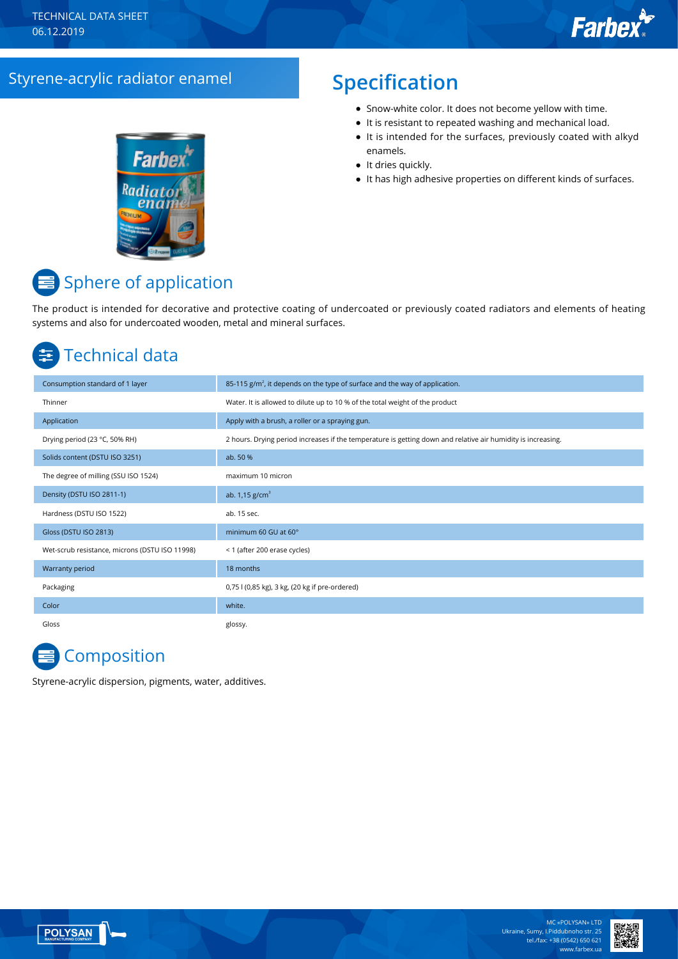### Styrene-acrylic radiator enamel **Specification**

# **Farbe**

- Snow-white color. It does not become yellow with time.
- It is resistant to repeated washing and mechanical load.
- It is intended for the surfaces, previously coated with alkyd enamels.
- It dries quickly.
- It has high adhesive properties on different kinds of surfaces.

## Sphere of application

The product is intended for decorative and protective coating of undercoated or previously coated radiators and elements of heating systems and also for undercoated wooden, metal and mineral surfaces.

# Technical data

| Consumption standard of 1 layer                | 85-115 $g/m2$ , it depends on the type of surface and the way of application.                                |
|------------------------------------------------|--------------------------------------------------------------------------------------------------------------|
| Thinner                                        | Water. It is allowed to dilute up to 10 % of the total weight of the product                                 |
| Application                                    | Apply with a brush, a roller or a spraying gun.                                                              |
| Drying period (23 °C, 50% RH)                  | 2 hours. Drying period increases if the temperature is getting down and relative air humidity is increasing. |
| Solids content (DSTU ISO 3251)                 | ab. 50 %                                                                                                     |
| The degree of milling (SSU ISO 1524)           | maximum 10 micron                                                                                            |
| Density (DSTU ISO 2811-1)                      | ab. $1,15$ g/cm <sup>3</sup>                                                                                 |
| Hardness (DSTU ISO 1522)                       | ab. 15 sec.                                                                                                  |
| Gloss (DSTU ISO 2813)                          | minimum 60 GU at 60°                                                                                         |
| Wet-scrub resistance, microns (DSTU ISO 11998) | < 1 (after 200 erase cycles)                                                                                 |
| Warranty period                                | 18 months                                                                                                    |
| Packaging                                      | 0,75 l (0,85 kg), 3 kg, (20 kg if pre-ordered)                                                               |
| Color                                          | white.                                                                                                       |
| Gloss                                          | glossy.                                                                                                      |

# **Composition**

Styrene-acrylic dispersion, pigments, water, additives.